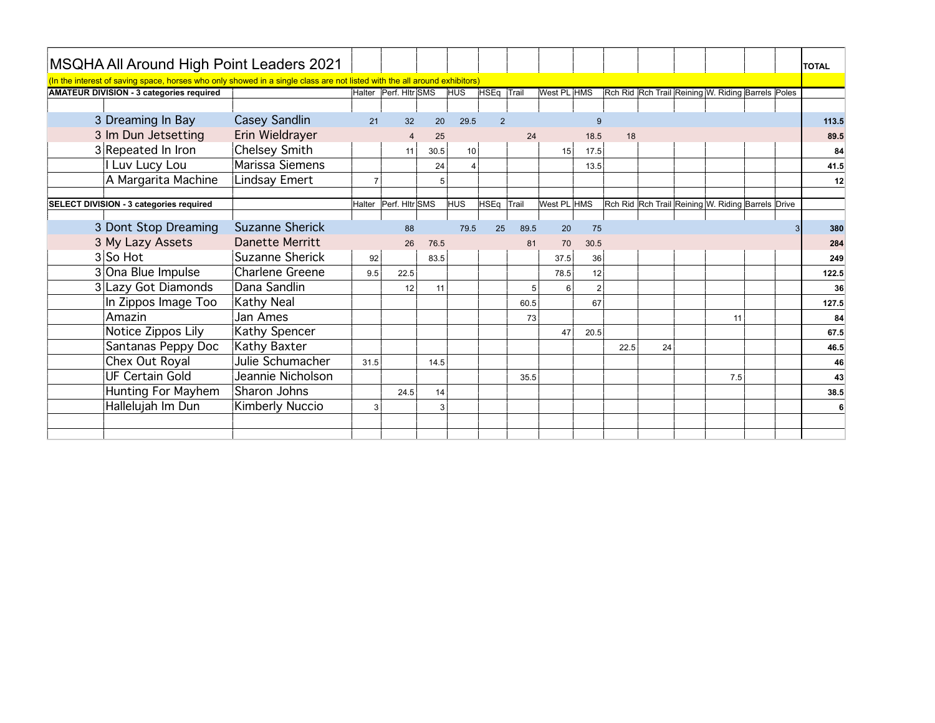| MSQHA All Around High Point Leaders 2021                                                                                  |                        |        |                |      |                 |                |      |                     |      |    |                                                   |  | <b>TOTAL</b> |
|---------------------------------------------------------------------------------------------------------------------------|------------------------|--------|----------------|------|-----------------|----------------|------|---------------------|------|----|---------------------------------------------------|--|--------------|
| (In the interest of saving space, horses who only showed in a single class are not listed with the all around exhibitors) |                        |        |                |      |                 |                |      |                     |      |    |                                                   |  |              |
| <b>AMATEUR DIVISION - 3 categories required</b>                                                                           |                        | Halter | Perf. Hitr SMS |      | <b>HUS</b>      | HSEq Trail     |      | <b>West PL HMS</b>  |      |    | Rch Rid Rch Trail Reining W. Riding Barrels Poles |  |              |
|                                                                                                                           |                        |        |                |      |                 |                |      |                     |      |    |                                                   |  |              |
| 3 Dreaming In Bay                                                                                                         | Casey Sandlin          | 21     | 32             | 20   | 29.5            | $\overline{2}$ |      | g                   |      |    |                                                   |  | 113.5        |
| 3 Im Dun Jetsetting                                                                                                       | Erin Wieldrayer        |        |                | 25   |                 |                | 24   | 18.5                | 18   |    |                                                   |  | 89.5         |
| 3 Repeated In Iron                                                                                                        | Chelsey Smith          |        | 11             | 30.5 | 10 <sup>1</sup> |                |      | 17.5<br>15          |      |    |                                                   |  | 84           |
| Luv Lucy Lou                                                                                                              | Marissa Siemens        |        |                | 24   | 4               |                |      | 13.5                |      |    |                                                   |  | 41.5         |
| A Margarita Machine                                                                                                       | Lindsay Emert          |        |                | 5    |                 |                |      |                     |      |    |                                                   |  | 12           |
|                                                                                                                           |                        |        |                |      |                 |                |      |                     |      |    |                                                   |  |              |
| SELECT DIVISION - 3 categories required                                                                                   |                        | Halter | Perf. Hitr SMS |      | <b>HUS</b>      | HSEq Trail     |      | West PL HMS         |      |    | Rch Rid Rch Trail Reining W. Riding Barrels Drive |  |              |
| 3 Dont Stop Dreaming                                                                                                      | <b>Suzanne Sherick</b> |        | 88             |      | 79.5            | 25             | 89.5 | 75<br>20            |      |    |                                                   |  | 380          |
| 3 My Lazy Assets                                                                                                          | Danette Merritt        |        | 26             | 76.5 |                 |                | 81   | 70<br>30.5          |      |    |                                                   |  | 284          |
| $3$ So Hot                                                                                                                | Suzanne Sherick        | 92     |                | 83.5 |                 |                |      | 37.5<br>36          |      |    |                                                   |  | 249          |
| 3 Ona Blue Impulse                                                                                                        | <b>Charlene Greene</b> | 9.5    | 22.5           |      |                 |                |      | 12<br>78.5          |      |    |                                                   |  | 122.5        |
| 3 Lazy Got Diamonds                                                                                                       | Dana Sandlin           |        | 12             | 11   |                 |                |      | $\overline{2}$<br>6 |      |    |                                                   |  | 36           |
| In Zippos Image Too                                                                                                       | <b>Kathy Neal</b>      |        |                |      |                 |                | 60.5 | 67                  |      |    |                                                   |  | 127.5        |
| Amazin                                                                                                                    | Jan Ames               |        |                |      |                 |                | 73   |                     |      |    | 11                                                |  | 84           |
| Notice Zippos Lily                                                                                                        | <b>Kathy Spencer</b>   |        |                |      |                 |                |      | 20.5<br>47          |      |    |                                                   |  | 67.5         |
| Santanas Peppy Doc                                                                                                        | Kathy Baxter           |        |                |      |                 |                |      |                     | 22.5 | 24 |                                                   |  | 46.5         |
| Chex Out Royal                                                                                                            | Julie Schumacher       | 31.5   |                | 14.5 |                 |                |      |                     |      |    |                                                   |  | 46           |
| <b>UF Certain Gold</b>                                                                                                    | Jeannie Nicholson      |        |                |      |                 |                | 35.5 |                     |      |    | 7.5                                               |  | 43           |
| Hunting For Mayhem                                                                                                        | Sharon Johns           |        | 24.5           | 14   |                 |                |      |                     |      |    |                                                   |  | 38.5         |
| Hallelujah Im Dun                                                                                                         | <b>Kimberly Nuccio</b> |        |                | 3    |                 |                |      |                     |      |    |                                                   |  |              |
|                                                                                                                           |                        |        |                |      |                 |                |      |                     |      |    |                                                   |  |              |
|                                                                                                                           |                        |        |                |      |                 |                |      |                     |      |    |                                                   |  |              |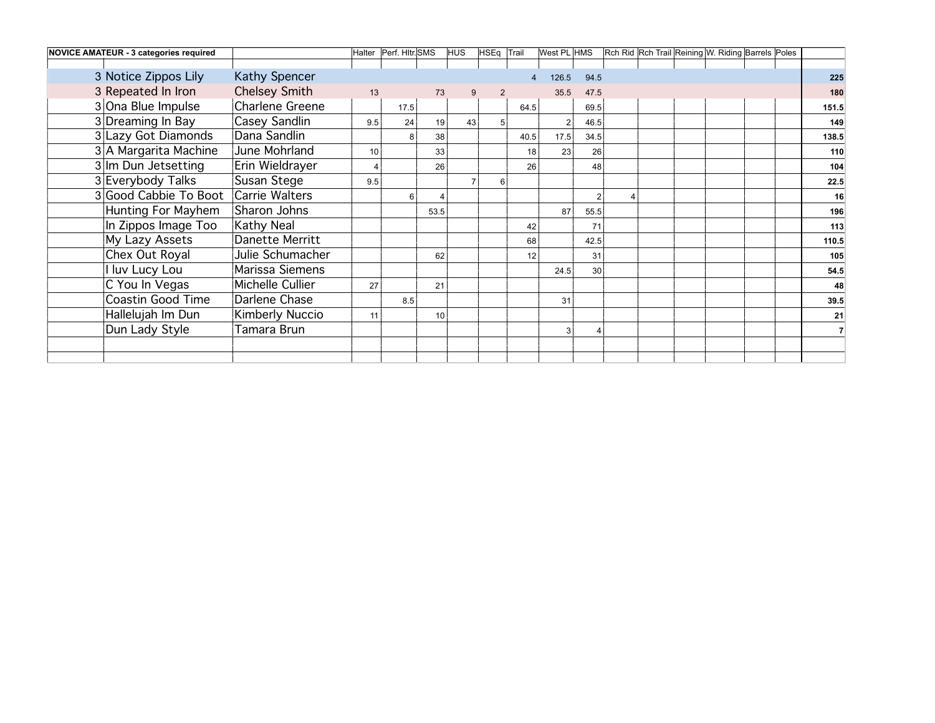| NOVICE AMATEUR - 3 categories required |                  |     | Halter   Perf. Hitr. SMS |      | HUS | HSEq Trail     |                 | West PL HMS |      | Rch Rid Rch Trail Reining W. Riding Barrels Poles |       |
|----------------------------------------|------------------|-----|--------------------------|------|-----|----------------|-----------------|-------------|------|---------------------------------------------------|-------|
|                                        |                  |     |                          |      |     |                |                 |             |      |                                                   |       |
| 3 Notice Zippos Lily                   | Kathy Spencer    |     |                          |      |     |                |                 | 126.5       | 94.5 |                                                   | 225   |
| 3 Repeated In Iron                     | Chelsey Smith    | 13  |                          | 73   |     | $\overline{2}$ |                 | 35.5        | 47.5 |                                                   | 180   |
| 3 Ona Blue Impulse                     | Charlene Greene  |     | 17.5                     |      |     |                | 64.5            |             | 69.5 |                                                   | 151.5 |
| 3 Dreaming In Bay                      | Casey Sandlin    | 9.5 | 24                       | 19   | 43  |                |                 |             | 46.5 |                                                   | 149   |
| 3 Lazy Got Diamonds                    | Dana Sandlin     |     | 8                        | 38   |     |                | 40.5            | 17.5        | 34.5 |                                                   | 138.5 |
| 3 A Margarita Machine                  | June Mohrland    | 10  |                          | 33   |     |                | 18              | 23          | 26   |                                                   | 110   |
| 3 Im Dun Jetsetting                    | Erin Wieldrayer  |     |                          | 26   |     |                | 26 <sup>1</sup> |             | 48   |                                                   | 104   |
| 3 Everybody Talks                      | Susan Stege      | 9.5 |                          |      |     | 6              |                 |             |      |                                                   | 22.5  |
| 3 Good Cabbie To Boot                  | Carrie Walters   |     | 6                        |      |     |                |                 |             |      |                                                   | 16    |
| Hunting For Mayhem                     | Sharon Johns     |     |                          | 53.5 |     |                |                 | 87          | 55.5 |                                                   | 196   |
| In Zippos Image Too                    | Kathy Neal       |     |                          |      |     |                | 42              |             | 71   |                                                   | 113   |
| My Lazy Assets                         | Danette Merritt  |     |                          |      |     |                | 68              |             | 42.5 |                                                   | 110.5 |
| Chex Out Royal                         | Julie Schumacher |     |                          | 62   |     |                | 12              |             | 31   |                                                   | 105   |
| luv Lucy Lou                           | Marissa Siemens  |     |                          |      |     |                |                 | 24.5        | 30   |                                                   | 54.5  |
| C You In Vegas                         | Michelle Cullier | 27  |                          | 21   |     |                |                 |             |      |                                                   | 48    |
| Coastin Good Time                      | Darlene Chase    |     | 8.5                      |      |     |                |                 | 31          |      |                                                   | 39.5  |
| Hallelujah Im Dun                      | Kimberly Nuccio  | 11  |                          | 10   |     |                |                 |             |      |                                                   | 21    |
| Dun Lady Style                         | Tamara Brun      |     |                          |      |     |                |                 |             |      |                                                   |       |
|                                        |                  |     |                          |      |     |                |                 |             |      |                                                   |       |
|                                        |                  |     |                          |      |     |                |                 |             |      |                                                   |       |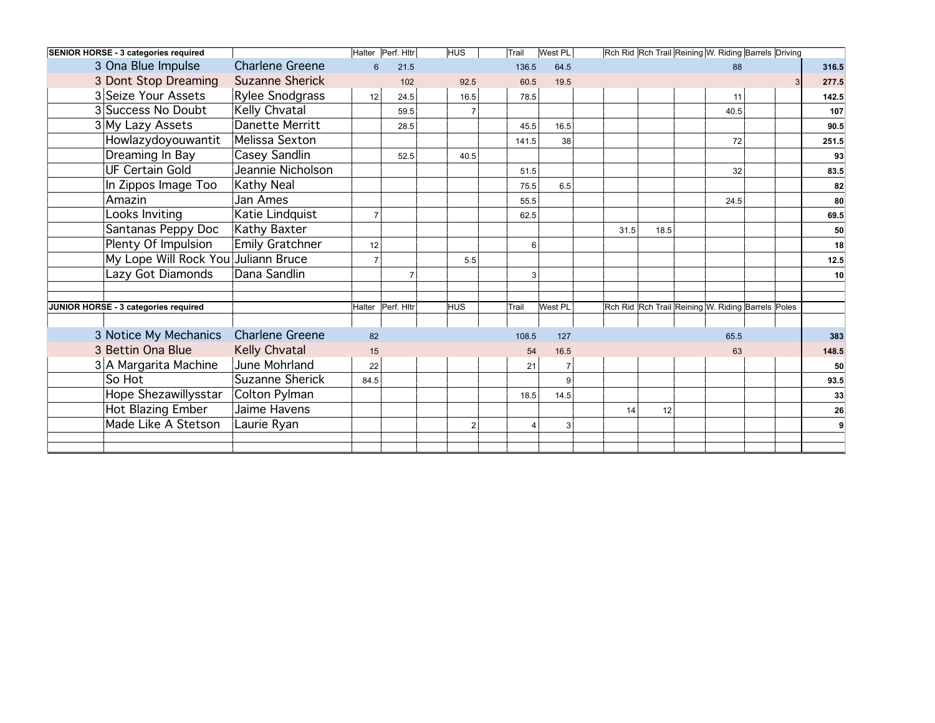| <b>SENIOR HORSE - 3 categories required</b> |                        |                 | Halter Perf. Hitr | <b>HUS</b> | Trail | West PL      |      |      |      | Rch Rid Rch Trail Reining W. Riding Barrels Driving |       |
|---------------------------------------------|------------------------|-----------------|-------------------|------------|-------|--------------|------|------|------|-----------------------------------------------------|-------|
| 3 Ona Blue Impulse                          | <b>Charlene Greene</b> |                 | 21.5              |            | 136.5 | 64.5         |      |      | 88   |                                                     | 316.5 |
| 3 Dont Stop Dreaming                        | <b>Suzanne Sherick</b> |                 | 102               | 92.5       |       | 60.5<br>19.5 |      |      |      |                                                     | 277.5 |
| 3 Seize Your Assets                         | Rylee Snodgrass        | 12 <sup>1</sup> | 24.5              | 16.5       |       | 78.5         |      |      | 11   |                                                     | 142.5 |
| 3 Success No Doubt                          | Kelly Chvatal          |                 | 59.5              |            |       |              |      |      | 40.5 |                                                     | 107   |
| 3 My Lazy Assets                            | Danette Merritt        |                 | 28.5              |            |       | 16.5<br>45.5 |      |      |      |                                                     | 90.5  |
| Howlazydoyouwantit                          | Melissa Sexton         |                 |                   |            | 141.5 | 38           |      |      | 72   |                                                     | 251.5 |
| Dreaming In Bay                             | Casey Sandlin          |                 | 52.5              | 40.5       |       |              |      |      |      |                                                     | 93    |
| <b>UF Certain Gold</b>                      | Jeannie Nicholson      |                 |                   |            |       | 51.5         |      |      | 32   |                                                     | 83.5  |
| In Zippos Image Too                         | <b>Kathy Neal</b>      |                 |                   |            |       | 75.5<br>6.5  |      |      |      |                                                     | 82    |
| Amazin                                      | Jan Ames               |                 |                   |            |       | 55.5         |      |      | 24.5 |                                                     | 80    |
| Looks Inviting                              | Katie Lindquist        |                 |                   |            |       | 62.5         |      |      |      |                                                     | 69.5  |
| Santanas Peppy Doc                          | Kathy Baxter           |                 |                   |            |       |              | 31.5 | 18.5 |      |                                                     | 50    |
| Plenty Of Impulsion                         | <b>Emily Gratchner</b> | 12              |                   |            |       | 6            |      |      |      |                                                     | 18    |
| My Lope Will Rock You Juliann Bruce         |                        |                 |                   | 5.5        |       |              |      |      |      |                                                     | 12.5  |
| Lazy Got Diamonds                           | Dana Sandlin           |                 |                   |            |       | 3            |      |      |      |                                                     | 10    |
|                                             |                        |                 |                   |            |       |              |      |      |      |                                                     |       |
| JUNIOR HORSE - 3 categories required        |                        |                 | Halter Perf. Hitr | <b>HUS</b> | Trail | West PL      |      |      |      | Rch Rid Rch Trail Reining W. Riding Barrels Poles   |       |
|                                             |                        |                 |                   |            |       |              |      |      |      |                                                     |       |
| 3 Notice My Mechanics                       | <b>Charlene Greene</b> | 82              |                   |            | 108.5 | 127          |      |      | 65.5 |                                                     | 383   |
| 3 Bettin Ona Blue                           | Kelly Chvatal          | 15              |                   |            |       | 54<br>16.5   |      |      | 63   |                                                     | 148.5 |
| 3 A Margarita Machine                       | June Mohrland          | 22              |                   |            |       | 21           |      |      |      |                                                     | 50    |
| So Hot                                      | Suzanne Sherick        | 84.5            |                   |            |       |              |      |      |      |                                                     | 93.5  |
| Hope Shezawillysstar                        | Colton Pylman          |                 |                   |            |       | 18.5<br>14.5 |      |      |      |                                                     | 33    |
| Hot Blazing Ember                           | Jaime Havens           |                 |                   |            |       |              | 14   | 12   |      |                                                     | 26    |
| Made Like A Stetson                         | Laurie Ryan            |                 |                   |            |       | 3<br>4       |      |      |      |                                                     |       |
|                                             |                        |                 |                   |            |       |              |      |      |      |                                                     |       |
|                                             |                        |                 |                   |            |       |              |      |      |      |                                                     |       |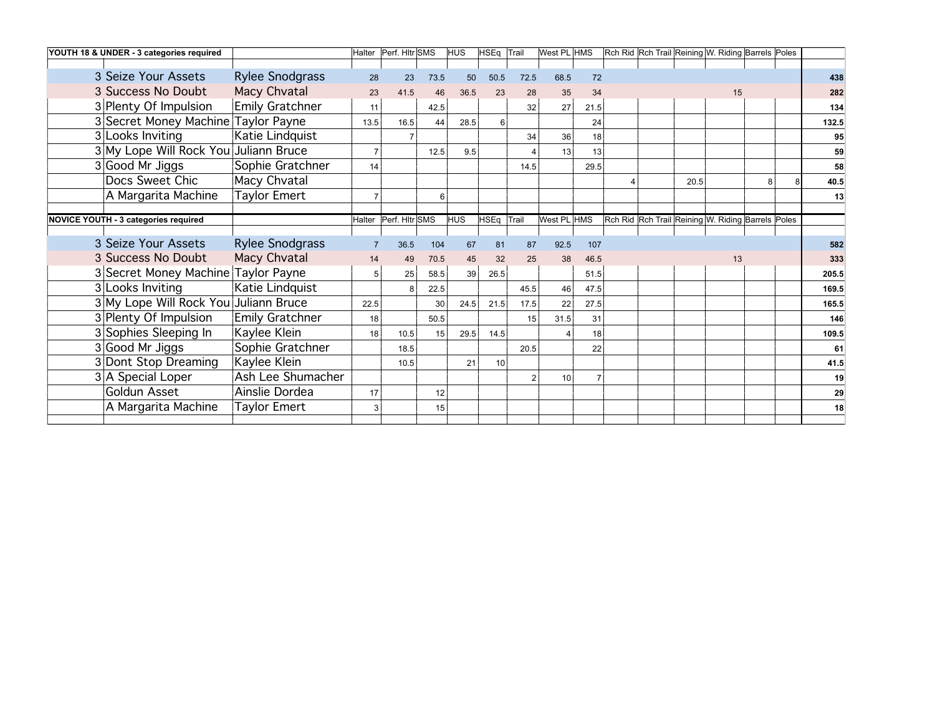| YOUTH 18 & UNDER - 3 categories required |                        |      | Halter   Perf. Hitr SMS |      | <b>HUS</b> | HSEq Trail |                 | West PL HMS |      |  |      | Rch Rid Rch Trail Reining W. Riding Barrels Poles |   |       |
|------------------------------------------|------------------------|------|-------------------------|------|------------|------------|-----------------|-------------|------|--|------|---------------------------------------------------|---|-------|
|                                          |                        |      |                         |      |            |            |                 |             |      |  |      |                                                   |   |       |
| 3 Seize Your Assets                      | <b>Rylee Snodgrass</b> | 28   | 23                      | 73.5 | 50         | 50.5       | 72.5            | 68.5        | 72   |  |      |                                                   |   | 438   |
| 3 Success No Doubt                       | Macy Chvatal           | 23   | 41.5                    | 46   | 36.5       | 23         | 28              | 35          | 34   |  |      | 15                                                |   | 282   |
| 3 Plenty Of Impulsion                    | Emily Gratchner        | 11   |                         | 42.5 |            |            | 32              | 27          | 21.5 |  |      |                                                   |   | 134   |
| 3 Secret Money Machine Taylor Payne      |                        | 13.5 | 16.5                    | 44   | 28.5       | 6          |                 |             | 24   |  |      |                                                   |   | 132.5 |
| 3 Looks Inviting                         | Katie Lindquist        |      | $\overline{7}$          |      |            |            | 34              | 36          | 18   |  |      |                                                   |   | 95    |
| 3 My Lope Will Rock You Juliann Bruce    |                        |      |                         | 12.5 | 9.5        |            |                 | 13          | 13   |  |      |                                                   |   | 59    |
| 3 Good Mr Jiggs                          | Sophie Gratchner       | 14   |                         |      |            |            | 14.5            |             | 29.5 |  |      |                                                   |   | 58    |
| Docs Sweet Chic                          | Macy Chvatal           |      |                         |      |            |            |                 |             |      |  | 20.5 |                                                   | 8 | 40.5  |
| A Margarita Machine                      | <b>Taylor Emert</b>    |      |                         | 6    |            |            |                 |             |      |  |      |                                                   |   | 13    |
|                                          |                        |      |                         |      |            |            |                 |             |      |  |      |                                                   |   |       |
| NOVICE YOUTH - 3 categories required     |                        |      | Halter   Perf. Hitr SMS |      | <b>HUS</b> | HSEq Trail |                 | West PL HMS |      |  |      | Rch Rid Rch Trail Reining W. Riding Barrels Poles |   |       |
| 3 Seize Your Assets                      | <b>Rylee Snodgrass</b> |      | 36.5                    | 104  | 67         | 81         | 87              | 92.5        | 107  |  |      |                                                   |   | 582   |
| 3 Success No Doubt                       | Macy Chvatal           | 14   | 49                      | 70.5 | 45         | 32         | 25              | 38          | 46.5 |  |      | 13                                                |   | 333   |
| 3 Secret Money Machine Taylor Payne      |                        |      | 25                      | 58.5 | 39         | 26.5       |                 |             | 51.5 |  |      |                                                   |   | 205.5 |
| 3 Looks Inviting                         | Katie Lindquist        |      | 8 <sup>1</sup>          | 22.5 |            |            | 45.5            | 46          | 47.5 |  |      |                                                   |   | 169.5 |
| 3 My Lope Will Rock You Juliann Bruce    |                        | 22.5 |                         | 30   | 24.5       | 21.5       | 17.5            | 22          | 27.5 |  |      |                                                   |   | 165.5 |
| 3 Plenty Of Impulsion                    | <b>Emily Gratchner</b> | 18   |                         | 50.5 |            |            | 15 <sup>1</sup> | 31.5        | 31   |  |      |                                                   |   | 146   |
| 3 Sophies Sleeping In                    | Kaylee Klein           | 18   | 10.5                    | 15   | 29.5       | 14.5       |                 |             | 18   |  |      |                                                   |   | 109.5 |
| 3 Good Mr Jiggs                          | Sophie Gratchner       |      | 18.5                    |      |            |            | 20.5            |             | 22   |  |      |                                                   |   | 61    |
| 3 Dont Stop Dreaming                     | Kaylee Klein           |      | 10.5                    |      | 21         | 10         |                 |             |      |  |      |                                                   |   | 41.5  |
| 3 A Special Loper                        | Ash Lee Shumacher      |      |                         |      |            |            | $\overline{2}$  | 10          |      |  |      |                                                   |   | 19    |
| Goldun Asset                             | Ainslie Dordea         | 17   |                         | 12   |            |            |                 |             |      |  |      |                                                   |   | 29    |
| A Margarita Machine                      | <b>Taylor Emert</b>    |      |                         | 15   |            |            |                 |             |      |  |      |                                                   |   | 18    |
|                                          |                        |      |                         |      |            |            |                 |             |      |  |      |                                                   |   |       |